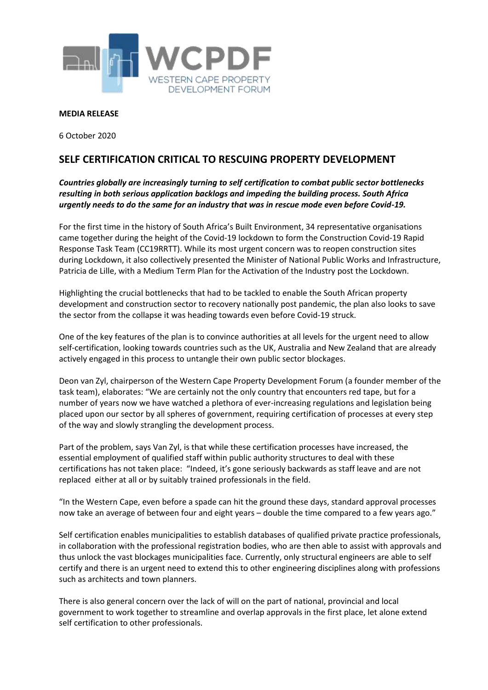

## **MEDIA RELEASE**

6 October 2020

## **SELF CERTIFICATION CRITICAL TO RESCUING PROPERTY DEVELOPMENT**

## *Countries globally are increasingly turning to self certification to combat public sector bottlenecks resulting in both serious application backlogs and impeding the building process. South Africa urgently needs to do the same for an industry that was in rescue mode even before Covid-19.*

For the first time in the history of South Africa's Built Environment, 34 representative organisations came together during the height of the Covid-19 lockdown to form the Construction Covid-19 Rapid Response Task Team (CC19RRTT). While its most urgent concern was to reopen construction sites during Lockdown, it also collectively presented the Minister of National Public Works and Infrastructure, Patricia de Lille, with a Medium Term Plan for the Activation of the Industry post the Lockdown.

Highlighting the crucial bottlenecks that had to be tackled to enable the South African property development and construction sector to recovery nationally post pandemic, the plan also looks to save the sector from the collapse it was heading towards even before Covid-19 struck.

One of the key features of the plan is to convince authorities at all levels for the urgent need to allow self-certification, looking towards countries such as the UK, Australia and New Zealand that are already actively engaged in this process to untangle their own public sector blockages.

Deon van Zyl, chairperson of the Western Cape Property Development Forum (a founder member of the task team), elaborates: "We are certainly not the only country that encounters red tape, but for a number of years now we have watched a plethora of ever-increasing regulations and legislation being placed upon our sector by all spheres of government, requiring certification of processes at every step of the way and slowly strangling the development process.

Part of the problem, says Van Zyl, is that while these certification processes have increased, the essential employment of qualified staff within public authority structures to deal with these certifications has not taken place: "Indeed, it's gone seriously backwards as staff leave and are not replaced either at all or by suitably trained professionals in the field.

"In the Western Cape, even before a spade can hit the ground these days, standard approval processes now take an average of between four and eight years – double the time compared to a few years ago."

Self certification enables municipalities to establish databases of qualified private practice professionals, in collaboration with the professional registration bodies, who are then able to assist with approvals and thus unlock the vast blockages municipalities face. Currently, only structural engineers are able to self certify and there is an urgent need to extend this to other engineering disciplines along with professions such as architects and town planners.

There is also general concern over the lack of will on the part of national, provincial and local government to work together to streamline and overlap approvals in the first place, let alone extend self certification to other professionals.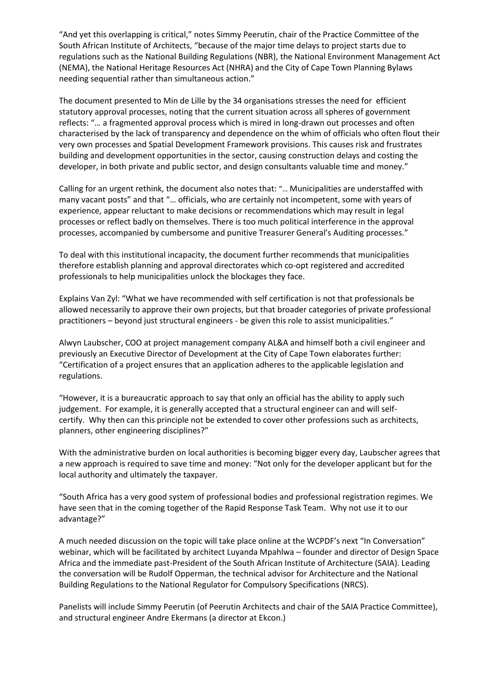"And yet this overlapping is critical," notes Simmy Peerutin, chair of the Practice Committee of the South African Institute of Architects, "because of the major time delays to project starts due to regulations such as the National Building Regulations (NBR), the National Environment Management Act (NEMA), the National Heritage Resources Act (NHRA) and the City of Cape Town Planning Bylaws needing sequential rather than simultaneous action."

The document presented to Min de Lille by the 34 organisations stresses the need for efficient statutory approval processes, noting that the current situation across all spheres of government reflects: "… a fragmented approval process which is mired in long-drawn out processes and often characterised by the lack of transparency and dependence on the whim of officials who often flout their very own processes and Spatial Development Framework provisions. This causes risk and frustrates building and development opportunities in the sector, causing construction delays and costing the developer, in both private and public sector, and design consultants valuable time and money."

Calling for an urgent rethink, the document also notes that: "… Municipalities are understaffed with many vacant posts" and that "… officials, who are certainly not incompetent, some with years of experience, appear reluctant to make decisions or recommendations which may result in legal processes or reflect badly on themselves. There is too much political interference in the approval processes, accompanied by cumbersome and punitive Treasurer General's Auditing processes."

To deal with this institutional incapacity, the document further recommends that municipalities therefore establish planning and approval directorates which co-opt registered and accredited professionals to help municipalities unlock the blockages they face.

Explains Van Zyl: "What we have recommended with self certification is not that professionals be allowed necessarily to approve their own projects, but that broader categories of private professional practitioners – beyond just structural engineers - be given this role to assist municipalities."

Alwyn Laubscher, COO at project management company AL&A and himself both a civil engineer and previously an Executive Director of Development at the City of Cape Town elaborates further: "Certification of a project ensures that an application adheres to the applicable legislation and regulations.

"However, it is a bureaucratic approach to say that only an official has the ability to apply such judgement. For example, it is generally accepted that a structural engineer can and will selfcertify. Why then can this principle not be extended to cover other professions such as architects, planners, other engineering disciplines?"

With the administrative burden on local authorities is becoming bigger every day, Laubscher agrees that a new approach is required to save time and money: "Not only for the developer applicant but for the local authority and ultimately the taxpayer.

"South Africa has a very good system of professional bodies and professional registration regimes. We have seen that in the coming together of the Rapid Response Task Team. Why not use it to our advantage?"

A much needed discussion on the topic will take place online at the WCPDF's next "In Conversation" webinar, which will be facilitated by architect Luyanda Mpahlwa – founder and director of Design Space Africa and the immediate past-President of the South African Institute of Architecture (SAIA). Leading the conversation will be Rudolf Opperman, the technical advisor for Architecture and the National Building Regulations to the National Regulator for Compulsory Specifications (NRCS).

Panelists will include Simmy Peerutin (of Peerutin Architects and chair of the SAIA Practice Committee), and structural engineer Andre Ekermans (a director at Ekcon.)